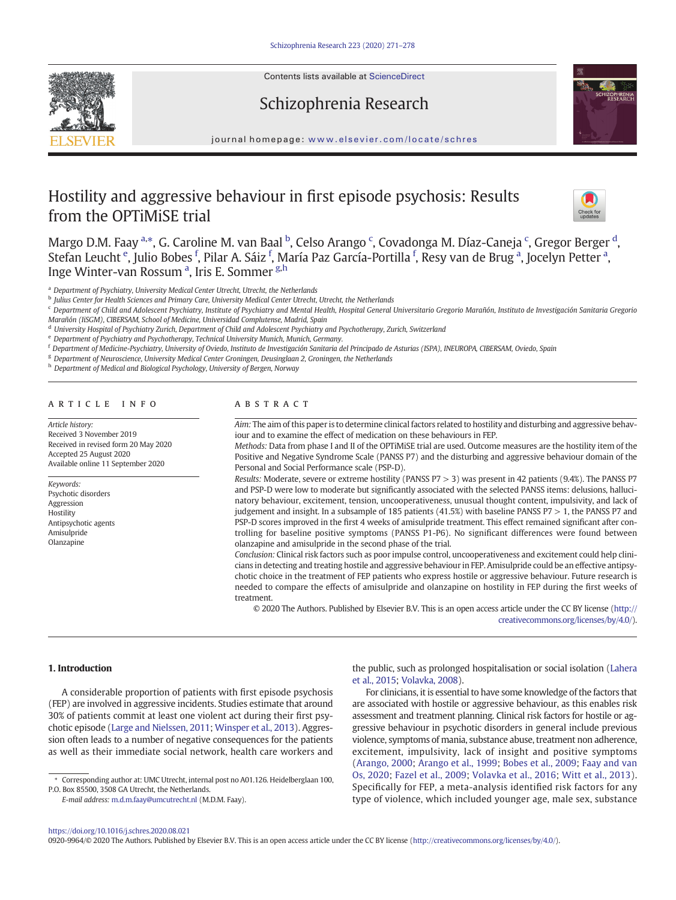Contents lists available at ScienceDirect

# Schizophrenia Research



journal homepage: <www.elsevier.com/locate/schres>

# Hostility and aggressive behaviour in first episode psychosis: Results from the OPTiMiSE trial



Margo D.M. Faay <sup>a,\*</sup>, G. Caroline M. van Baal <sup>b</sup>, Celso Arango <sup>c</sup>, Covadonga M. Díaz-Caneja <sup>c</sup>, Gregor Berger <sup>d</sup>, Stefan Leucht <sup>e</sup>, Julio Bobes <sup>f</sup>, Pilar A. Sáiz <sup>f</sup>, María Paz García-Portilla <sup>f</sup>, Resy van de Brug <sup>a</sup>, Jocelyn Petter <sup>a</sup>, Inge Winter-van Rossum<sup>a</sup>, Iris E. Sommer <sup>g,h</sup>

<sup>a</sup> Department of Psychiatry, University Medical Center Utrecht, Utrecht, the Netherlands

<sup>b</sup> Julius Center for Health Sciences and Primary Care, University Medical Center Utrecht, Utrecht, the Netherlands

c Department of Child and Adolescent Psychiatry, Institute of Psychiatry and Mental Health, Hospital General Universitario Gregorio Marañón, Instituto de Investigación Sanitaria Gregorio Marañón (IiSGM), CIBERSAM, School of Medicine, Universidad Complutense, Madrid, Spain

<sup>d</sup> University Hospital of Psychiatry Zurich, Department of Child and Adolescent Psychiatry and Psychotherapy, Zurich, Switzerland

<sup>e</sup> Department of Psychiatry and Psychotherapy, Technical University Munich, Munich, Germany.

<sup>f</sup> Department of Medicine-Psychiatry, University of Oviedo, Instituto de Investigación Sanitaria del Principado de Asturias (ISPA), INEUROPA, CIBERSAM, Oviedo, Spain

<sup>g</sup> Department of Neuroscience, University Medical Center Groningen, Deusinglaan 2, Groningen, the Netherlands

h Department of Medical and Biological Psychology, University of Bergen, Norway

# article info abstract

Article history: Received 3 November 2019 Received in revised form 20 May 2020 Accepted 25 August 2020 Available online 11 September 2020

#### Keywords: Psychotic disorders Aggression Hostility Antipsychotic agents Amisulpride Olanzapine

Aim: The aim of this paper is to determine clinical factors related to hostility and disturbing and aggressive behaviour and to examine the effect of medication on these behaviours in FEP.

Methods: Data from phase I and II of the OPTiMiSE trial are used. Outcome measures are the hostility item of the Positive and Negative Syndrome Scale (PANSS P7) and the disturbing and aggressive behaviour domain of the Personal and Social Performance scale (PSP-D).

Results: Moderate, severe or extreme hostility (PANSS P7 > 3) was present in 42 patients (9.4%). The PANSS P7 and PSP-D were low to moderate but significantly associated with the selected PANSS items: delusions, hallucinatory behaviour, excitement, tension, uncooperativeness, unusual thought content, impulsivity, and lack of judgement and insight. In a subsample of 185 patients (41.5%) with baseline PANSS P7 > 1, the PANSS P7 and PSP-D scores improved in the first 4 weeks of amisulpride treatment. This effect remained significant after controlling for baseline positive symptoms (PANSS P1-P6). No significant differences were found between olanzapine and amisulpride in the second phase of the trial.

Conclusion: Clinical risk factors such as poor impulse control, uncooperativeness and excitement could help clinicians in detecting and treating hostile and aggressive behaviour in FEP. Amisulpride could be an effective antipsychotic choice in the treatment of FEP patients who express hostile or aggressive behaviour. Future research is needed to compare the effects of amisulpride and olanzapine on hostility in FEP during the first weeks of treatment.

© 2020 The Authors. Published by Elsevier B.V. This is an open access article under the CC BY license [\(http://](http://creativecommons.org/licenses/by/4.0/) [creativecommons.org/licenses/by/4.0/\)](http://creativecommons.org/licenses/by/4.0/).

### 1. Introduction

A considerable proportion of patients with first episode psychosis (FEP) are involved in aggressive incidents. Studies estimate that around 30% of patients commit at least one violent act during their first psychotic episode [\(Large and Nielssen, 2011](#page-6-0); [Winsper et al., 2013](#page-7-0)). Aggression often leads to a number of negative consequences for the patients as well as their immediate social network, health care workers and

E-mail address: [m.d.m.faay@umcutrecht.nl](mailto:m.d.m.faay@umcutrecht.nl) (M.D.M. Faay).

the public, such as prolonged hospitalisation or social isolation ([Lahera](#page-6-0) [et al., 2015](#page-6-0); [Volavka, 2008\)](#page-7-0).

For clinicians, it is essential to have some knowledge of the factors that are associated with hostile or aggressive behaviour, as this enables risk assessment and treatment planning. Clinical risk factors for hostile or aggressive behaviour in psychotic disorders in general include previous violence, symptoms of mania, substance abuse, treatment non adherence, excitement, impulsivity, lack of insight and positive symptoms [\(Arango, 2000;](#page-6-0) [Arango et al., 1999](#page-6-0); [Bobes et al., 2009](#page-6-0); [Faay and van](#page-6-0) [Os, 2020](#page-6-0); [Fazel et al., 2009](#page-6-0); [Volavka et al., 2016](#page-7-0); [Witt et al., 2013](#page-7-0)). Specifically for FEP, a meta-analysis identified risk factors for any type of violence, which included younger age, male sex, substance

0920-9964/© 2020 The Authors. Published by Elsevier B.V. This is an open access article under the CC BY license [\(http://creativecommons.org/licenses/by/4.0/](http://creativecommons.org/licenses/by/4.0/)).

<sup>⁎</sup> Corresponding author at: UMC Utrecht, internal post no A01.126. Heidelberglaan 100, P.O. Box 85500, 3508 GA Utrecht, the Netherlands.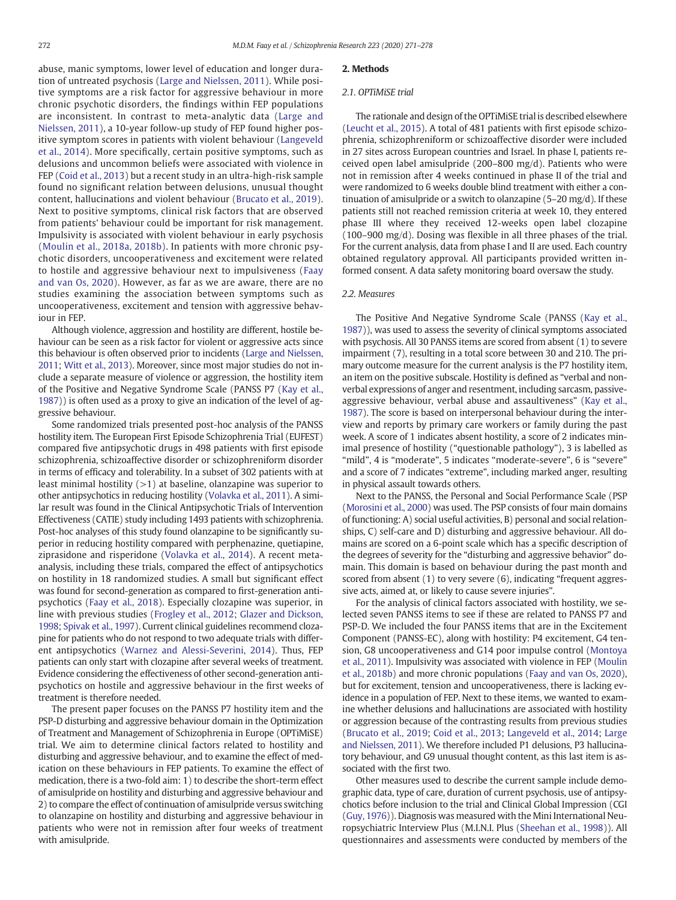abuse, manic symptoms, lower level of education and longer duration of untreated psychosis ([Large and Nielssen, 2011\)](#page-6-0). While positive symptoms are a risk factor for aggressive behaviour in more chronic psychotic disorders, the findings within FEP populations are inconsistent. In contrast to meta-analytic data ([Large and](#page-6-0) [Nielssen, 2011\)](#page-6-0), a 10-year follow-up study of FEP found higher positive symptom scores in patients with violent behaviour [\(Langeveld](#page-6-0) [et al., 2014\)](#page-6-0). More specifically, certain positive symptoms, such as delusions and uncommon beliefs were associated with violence in FEP [\(Coid et al., 2013\)](#page-6-0) but a recent study in an ultra-high-risk sample found no significant relation between delusions, unusual thought content, hallucinations and violent behaviour [\(Brucato et al., 2019](#page-6-0)). Next to positive symptoms, clinical risk factors that are observed from patients' behaviour could be important for risk management. Impulsivity is associated with violent behaviour in early psychosis ([Moulin et al., 2018a, 2018b\)](#page-6-0). In patients with more chronic psychotic disorders, uncooperativeness and excitement were related to hostile and aggressive behaviour next to impulsiveness ([Faay](#page-6-0) [and van Os, 2020](#page-6-0)). However, as far as we are aware, there are no studies examining the association between symptoms such as uncooperativeness, excitement and tension with aggressive behaviour in FEP.

Although violence, aggression and hostility are different, hostile behaviour can be seen as a risk factor for violent or aggressive acts since this behaviour is often observed prior to incidents ([Large and Nielssen,](#page-6-0) [2011;](#page-6-0) [Witt et al., 2013](#page-7-0)). Moreover, since most major studies do not include a separate measure of violence or aggression, the hostility item of the Positive and Negative Syndrome Scale (PANSS P7 [\(Kay et al.,](#page-6-0) [1987\)](#page-6-0)) is often used as a proxy to give an indication of the level of aggressive behaviour.

Some randomized trials presented post-hoc analysis of the PANSS hostility item. The European First Episode Schizophrenia Trial (EUFEST) compared five antipsychotic drugs in 498 patients with first episode schizophrenia, schizoaffective disorder or schizophreniform disorder in terms of efficacy and tolerability. In a subset of 302 patients with at least minimal hostility  $(>1)$  at baseline, olanzapine was superior to other antipsychotics in reducing hostility ([Volavka et al., 2011](#page-7-0)). A similar result was found in the Clinical Antipsychotic Trials of Intervention Effectiveness (CATIE) study including 1493 patients with schizophrenia. Post-hoc analyses of this study found olanzapine to be significantly superior in reducing hostility compared with perphenazine, quetiapine, ziprasidone and risperidone [\(Volavka et al., 2014\)](#page-7-0). A recent metaanalysis, including these trials, compared the effect of antipsychotics on hostility in 18 randomized studies. A small but significant effect was found for second-generation as compared to first-generation antipsychotics ([Faay et al., 2018\)](#page-6-0). Especially clozapine was superior, in line with previous studies ([Frogley et al., 2012](#page-6-0); [Glazer and Dickson,](#page-6-0) [1998;](#page-6-0) [Spivak et al., 1997\)](#page-7-0). Current clinical guidelines recommend clozapine for patients who do not respond to two adequate trials with different antipsychotics ([Warnez and Alessi-Severini, 2014](#page-7-0)). Thus, FEP patients can only start with clozapine after several weeks of treatment. Evidence considering the effectiveness of other second-generation antipsychotics on hostile and aggressive behaviour in the first weeks of treatment is therefore needed.

The present paper focuses on the PANSS P7 hostility item and the PSP-D disturbing and aggressive behaviour domain in the Optimization of Treatment and Management of Schizophrenia in Europe (OPTiMiSE) trial. We aim to determine clinical factors related to hostility and disturbing and aggressive behaviour, and to examine the effect of medication on these behaviours in FEP patients. To examine the effect of medication, there is a two-fold aim: 1) to describe the short-term effect of amisulpride on hostility and disturbing and aggressive behaviour and 2) to compare the effect of continuation of amisulpride versus switching to olanzapine on hostility and disturbing and aggressive behaviour in patients who were not in remission after four weeks of treatment with amisulpride.

#### 2. Methods

#### 2.1. OPTiMiSE trial

The rationale and design of the OPTiMiSE trial is described elsewhere [\(Leucht et al., 2015](#page-6-0)). A total of 481 patients with first episode schizophrenia, schizophreniform or schizoaffective disorder were included in 27 sites across European countries and Israel. In phase I, patients received open label amisulpride (200–800 mg/d). Patients who were not in remission after 4 weeks continued in phase II of the trial and were randomized to 6 weeks double blind treatment with either a continuation of amisulpride or a switch to olanzapine (5–20 mg/d). If these patients still not reached remission criteria at week 10, they entered phase III where they received 12-weeks open label clozapine (100–900 mg/d). Dosing was flexible in all three phases of the trial. For the current analysis, data from phase I and II are used. Each country obtained regulatory approval. All participants provided written informed consent. A data safety monitoring board oversaw the study.

# 2.2. Measures

The Positive And Negative Syndrome Scale (PANSS ([Kay et al.,](#page-6-0) [1987\)](#page-6-0)), was used to assess the severity of clinical symptoms associated with psychosis. All 30 PANSS items are scored from absent (1) to severe impairment (7), resulting in a total score between 30 and 210. The primary outcome measure for the current analysis is the P7 hostility item, an item on the positive subscale. Hostility is defined as "verbal and nonverbal expressions of anger and resentment, including sarcasm, passiveaggressive behaviour, verbal abuse and assaultiveness" [\(Kay et al.,](#page-6-0) [1987\)](#page-6-0). The score is based on interpersonal behaviour during the interview and reports by primary care workers or family during the past week. A score of 1 indicates absent hostility, a score of 2 indicates minimal presence of hostility ("questionable pathology"), 3 is labelled as "mild", 4 is "moderate", 5 indicates "moderate-severe", 6 is "severe" and a score of 7 indicates "extreme", including marked anger, resulting in physical assault towards others.

Next to the PANSS, the Personal and Social Performance Scale (PSP [\(Morosini et al., 2000\)](#page-6-0) was used. The PSP consists of four main domains of functioning: A) social useful activities, B) personal and social relationships, C) self-care and D) disturbing and aggressive behaviour. All domains are scored on a 6-point scale which has a specific description of the degrees of severity for the "disturbing and aggressive behavior" domain. This domain is based on behaviour during the past month and scored from absent (1) to very severe (6), indicating "frequent aggressive acts, aimed at, or likely to cause severe injuries".

For the analysis of clinical factors associated with hostility, we selected seven PANSS items to see if these are related to PANSS P7 and PSP-D. We included the four PANSS items that are in the Excitement Component (PANSS-EC), along with hostility: P4 excitement, G4 tension, G8 uncooperativeness and G14 poor impulse control [\(Montoya](#page-6-0) [et al., 2011](#page-6-0)). Impulsivity was associated with violence in FEP ([Moulin](#page-7-0) [et al., 2018b\)](#page-7-0) and more chronic populations [\(Faay and van Os, 2020](#page-6-0)), but for excitement, tension and uncooperativeness, there is lacking evidence in a population of FEP. Next to these items, we wanted to examine whether delusions and hallucinations are associated with hostility or aggression because of the contrasting results from previous studies [\(Brucato et al., 2019;](#page-6-0) [Coid et al., 2013;](#page-6-0) [Langeveld et al., 2014;](#page-6-0) [Large](#page-6-0) [and Nielssen, 2011\)](#page-6-0). We therefore included P1 delusions, P3 hallucinatory behaviour, and G9 unusual thought content, as this last item is associated with the first two.

Other measures used to describe the current sample include demographic data, type of care, duration of current psychosis, use of antipsychotics before inclusion to the trial and Clinical Global Impression (CGI [\(Guy, 1976\)](#page-6-0)). Diagnosis was measured with the Mini International Neuropsychiatric Interview Plus (M.I.N.I. Plus [\(Sheehan et al., 1998\)](#page-7-0)). All questionnaires and assessments were conducted by members of the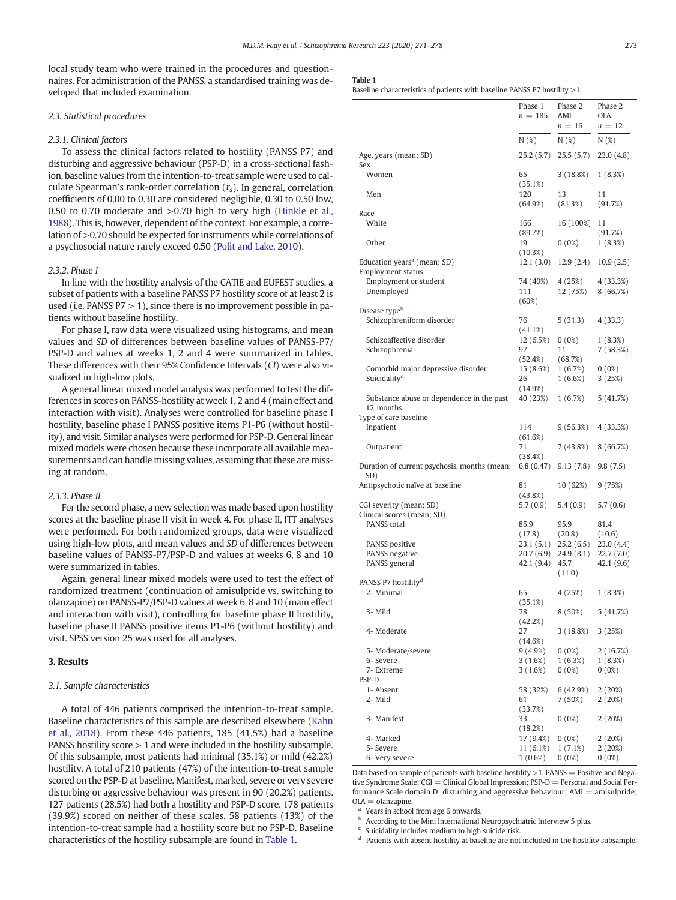<span id="page-2-0"></span>local study team who were trained in the procedures and questionnaires. For administration of the PANSS, a standardised training was developed that included examination.

# 2.3. Statistical procedures

# 2.3.1. Clinical factors

To assess the clinical factors related to hostility (PANSS P7) and disturbing and aggressive behaviour (PSP-D) in a cross-sectional fashion, baseline values from the intention-to-treat sample were used to calculate Spearman's rank-order correlation  $(r<sub>s</sub>)$ . In general, correlation coefficients of 0.00 to 0.30 are considered negligible, 0.30 to 0.50 low, 0.50 to 0.70 moderate and >0.70 high to very high [\(Hinkle et al.,](#page-6-0) [1988](#page-6-0)). This is, however, dependent of the context. For example, a correlation of >0.70 should be expected for instruments while correlations of a psychosocial nature rarely exceed 0.50 [\(Polit and Lake, 2010](#page-7-0)).

#### 2.3.2. Phase I

In line with the hostility analysis of the CATIE and EUFEST studies, a subset of patients with a baseline PANSS P7 hostility score of at least 2 is used (i.e. PANSS  $P7 > 1$ ), since there is no improvement possible in patients without baseline hostility.

For phase I, raw data were visualized using histograms, and mean values and SD of differences between baseline values of PANSS-P7/ PSP-D and values at weeks 1, 2 and 4 were summarized in tables. These differences with their 95% Confidence Intervals (CI) were also visualized in high-low plots.

A general linear mixed model analysis was performed to test the differences in scores on PANSS-hostility at week 1, 2 and 4 (main effect and interaction with visit). Analyses were controlled for baseline phase I hostility, baseline phase I PANSS positive items P1-P6 (without hostility), and visit. Similar analyses were performed for PSP-D. General linear mixed models were chosen because these incorporate all available measurements and can handle missing values, assuming that these are missing at random.

#### 2.3.3. Phase II

For the second phase, a new selection was made based upon hostility scores at the baseline phase II visit in week 4. For phase II, ITT analyses were performed. For both randomized groups, data were visualized using high-low plots, and mean values and SD of differences between baseline values of PANSS-P7/PSP-D and values at weeks 6, 8 and 10 were summarized in tables.

Again, general linear mixed models were used to test the effect of randomized treatment (continuation of amisulpride vs. switching to olanzapine) on PANSS-P7/PSP-D values at week 6, 8 and 10 (main effect and interaction with visit), controlling for baseline phase II hostility, baseline phase II PANSS positive items P1-P6 (without hostility) and visit. SPSS version 25 was used for all analyses.

# 3. Results

#### 3.1. Sample characteristics

A total of 446 patients comprised the intention-to-treat sample. Baseline characteristics of this sample are described elsewhere ([Kahn](#page-6-0) [et al., 2018\)](#page-6-0). From these 446 patients, 185 (41.5%) had a baseline PANSS hostility score > 1 and were included in the hostility subsample. Of this subsample, most patients had minimal (35.1%) or mild (42.2%) hostility. A total of 210 patients (47%) of the intention-to-treat sample scored on the PSP-D at baseline. Manifest, marked, severe or very severe disturbing or aggressive behaviour was present in 90 (20.2%) patients. 127 patients (28.5%) had both a hostility and PSP-D score. 178 patients (39.9%) scored on neither of these scales. 58 patients (13%) of the intention-to-treat sample had a hostility score but no PSP-D. Baseline characteristics of the hostility subsample are found in Table 1.

#### Table 1

Baseline characteristics of patients with baseline PANSS P7 hostility >1.

|                                                                     | Phase 1              | Phase 2             | Phase 2             |
|---------------------------------------------------------------------|----------------------|---------------------|---------------------|
|                                                                     | $n = 185$            | AMI                 | OLA                 |
|                                                                     |                      | $n = 16$            | $n = 12$            |
|                                                                     | N (%)                | N(%)                | N(%)                |
| Age, years (mean; SD)<br>Sex                                        | 25.2(5.7)            | 25.5(5.7)           | 23.0(4.8)           |
| Women                                                               | 65<br>(35.1%)        | 3 (18.8%)           | 1(8.3%)             |
| Men                                                                 | 120<br>(64.9%)       | 13<br>(81.3%)       | 11<br>(91.7%)       |
| Race                                                                |                      |                     |                     |
| White                                                               | 166<br>(89.7%)       | 16 (100%)           | 11<br>(91.7%)       |
| Other                                                               | 19<br>(10.3%)        | $0(0\%)$            | 1(8.3%)             |
| Education years <sup>a</sup> (mean; SD)<br><b>Employment status</b> | 12.1(3.0)            | 12.9(2.4)           | 10.9(2.5)           |
| Employment or student                                               | 74 (40%)             | 4 (25%)             | 4 (33.3%)           |
| Unemployed                                                          | 111<br>(60%)         | 12 (75%)            | 8(66.7%)            |
| Disease typeb                                                       |                      |                     |                     |
| Schizophreniform disorder                                           | 76                   | 5(31.3)             | 4(33.3)             |
|                                                                     | (41.1%)              |                     |                     |
| Schizoaffective disorder<br>Schizophrenia                           | 12 (6.5%)<br>97      | 0(0%)<br>11         | 1(8.3%)<br>7(58.3%) |
|                                                                     | (52.4%)              | (68.7%)             |                     |
| Comorbid major depressive disorder                                  | 15 (8.6%)            | 1(6.7%)             | $0(0\%)$            |
| Suicidality <sup>c</sup>                                            | 26                   | 1(6.6%)             | 3(25%)              |
|                                                                     | (14.9%)              |                     |                     |
| Substance abuse or dependence in the past                           | 40 (23%)             | 1(6.7%)             | 5(41.7%)            |
| 12 months<br>Type of care baseline                                  |                      |                     |                     |
| Inpatient                                                           | 114                  | 9 (56.3%)           | 4 (33.3%)           |
|                                                                     | (61.6%)              |                     |                     |
| Outpatient                                                          | 71                   | 7 (43.8%)           | 8(66.7%)            |
| Duration of current psychosis, months (mean;                        | (38.4%)<br>6.8(0.47) | 9.13(7.8)           | 9.8(7.5)            |
| SD)                                                                 |                      |                     |                     |
| Antipsychotic naïve at baseline                                     | 81                   | 10 (62%)            | 9 (75%)             |
| CGI severity (mean; SD)                                             | (43.8%)<br>5.7 (0.9) | 5.4(0.9)            | 5.7(0.6)            |
| Clinical scores (mean; SD)                                          |                      |                     |                     |
| PANSS total                                                         | 85.9                 | 95.9                | 81.4                |
|                                                                     | (17.8)               | (20.8)              | (10.6)              |
| PANSS positive                                                      | 23.1 (5.1)           | 25.2 (6.5)          | 23.0(4.4)           |
| PANSS negative                                                      | 20.7 (6.9)           | 24.9 (8.1)          | 22.7(7.0)           |
| PANSS general                                                       | 42.1(9.4)            | 45.7<br>(11.0)      | 42.1 (9.6)          |
| PANSS P7 hostility <sup>d</sup>                                     |                      |                     |                     |
| 2- Minimal                                                          | 65                   | 4 (25%)             | 1(8.3%)             |
| 3- Mild                                                             | (35.1%)<br>78        | 8 (50%)             | 5(41.7%)            |
| 4- Moderate                                                         | (42.2%)<br>27        | 3 (18.8%)           | 3(25%)              |
|                                                                     | (14.6%)              |                     |                     |
| 5- Moderate/severe<br>6- Severe                                     | 9(4.9%)<br>3(1.6%)   | $0(0\%)$<br>1(6.3%) | 2(16.7%)<br>1(8.3%) |
| 7- Extreme                                                          | 3(1.6%)              | 0(0%)               | 0(0%)               |
| PSP-D                                                               |                      |                     |                     |
| 1-Absent                                                            | 58 (32%)             | 6 (42.9%)           | 2(20%)              |
| 2-Mild                                                              | 61                   | 7(50%)              | 2(20%)              |
| 3- Manifest                                                         | (33.7%)<br>33        | 0(0%)               | 2(20%)              |
|                                                                     | (18.2%)              |                     |                     |
| 4- Marked                                                           | 17 (9.4%)            | 0(0%)               | 2 (20%)             |
| 5- Severe                                                           | 11 (6.1%)            | 1(7.1%)             | 2 (20%)             |
| 6- Very severe                                                      | $1(0.6\%)$           | $0(0\%)$            | $0(0\%)$            |

Data based on sample of patients with baseline hostility  $>$  1. PANSS = Positive and Negative Syndrome Scale; CGI = Clinical Global Impression; PSP-D = Personal and Social Performance Scale domain D: disturbing and aggressive behaviour; AMI = amisulpride;  $OLA = o$ lanzapine.

Years in school from age 6 onwards.

**b** According to the Mini International Neuropsychiatric Interview 5 plus.

Suicidality includes medium to high suicide risk.

Patients with absent hostility at baseline are not included in the hostility subsample.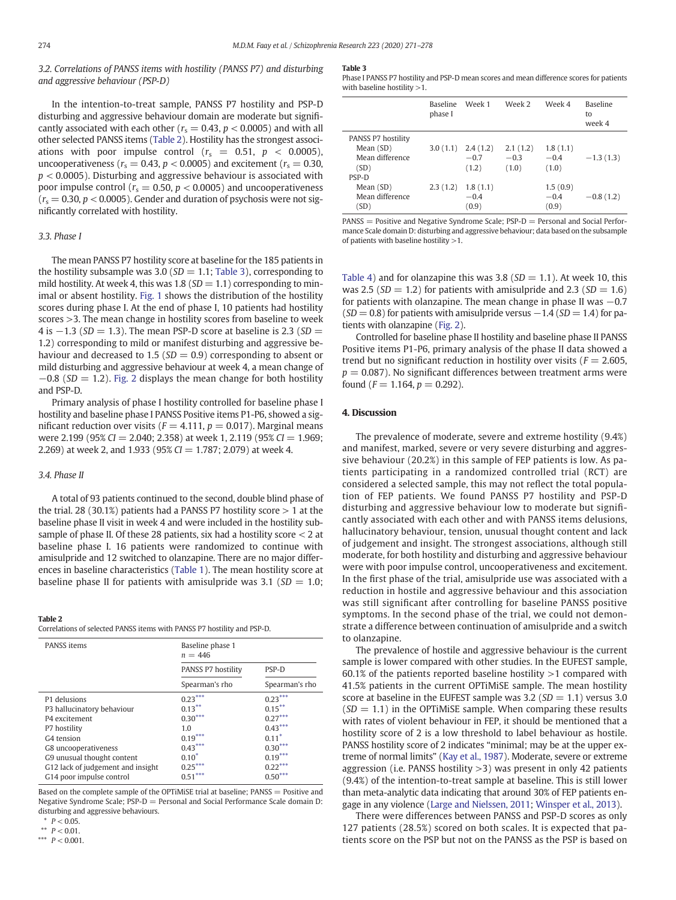3.2. Correlations of PANSS items with hostility (PANSS P7) and disturbing and aggressive behaviour (PSP-D)

In the intention-to-treat sample, PANSS P7 hostility and PSP-D disturbing and aggressive behaviour domain are moderate but significantly associated with each other ( $r_s = 0.43$ ,  $p < 0.0005$ ) and with all other selected PANSS items (Table 2). Hostility has the strongest associations with poor impulse control ( $r_s = 0.51$ ,  $p < 0.0005$ ), uncooperativeness ( $r_s = 0.43$ ,  $p < 0.0005$ ) and excitement ( $r_s = 0.30$ ,  $p < 0.0005$ ). Disturbing and aggressive behaviour is associated with poor impulse control ( $r_s = 0.50$ ,  $p < 0.0005$ ) and uncooperativeness  $(r<sub>s</sub> = 0.30, p < 0.0005)$ . Gender and duration of psychosis were not significantly correlated with hostility.

# 3.3. Phase I

The mean PANSS P7 hostility score at baseline for the 185 patients in the hostility subsample was 3.0 ( $SD = 1.1$ ; Table 3), corresponding to mild hostility. At week 4, this was 1.8 ( $SD = 1.1$ ) corresponding to minimal or absent hostility. [Fig. 1](#page-4-0) shows the distribution of the hostility scores during phase I. At the end of phase I, 10 patients had hostility scores >3. The mean change in hostility scores from baseline to week 4 is  $-1.3$  (SD = 1.3). The mean PSP-D score at baseline is 2.3 (SD = 1.2) corresponding to mild or manifest disturbing and aggressive behaviour and decreased to 1.5 ( $SD = 0.9$ ) corresponding to absent or mild disturbing and aggressive behaviour at week 4, a mean change of  $-0.8$  (SD = 1.2). [Fig. 2](#page-4-0) displays the mean change for both hostility and PSP-D.

Primary analysis of phase I hostility controlled for baseline phase I hostility and baseline phase I PANSS Positive items P1-P6, showed a significant reduction over visits ( $F = 4.111$ ,  $p = 0.017$ ). Marginal means were 2.199 (95% CI = 2.040; 2.358) at week 1, 2.119 (95% CI = 1.969; 2.269) at week 2, and 1.933 (95%  $CI = 1.787$ ; 2.079) at week 4.

# 3.4. Phase II

A total of 93 patients continued to the second, double blind phase of the trial. 28 (30.1%) patients had a PANSS P7 hostility score  $> 1$  at the baseline phase II visit in week 4 and were included in the hostility subsample of phase II. Of these 28 patients, six had a hostility score < 2 at baseline phase I. 16 patients were randomized to continue with amisulpride and 12 switched to olanzapine. There are no major differences in baseline characteristics [\(Table 1](#page-2-0)). The mean hostility score at baseline phase II for patients with amisulpride was 3.1 ( $SD = 1.0$ ;

#### Table 2

Correlations of selected PANSS items with PANSS P7 hostility and PSP-D.

| PANSS items                       | Baseline phase 1<br>$n = 446$ |                |  |  |
|-----------------------------------|-------------------------------|----------------|--|--|
|                                   | PANSS P7 hostility            |                |  |  |
|                                   | Spearman's rho                | Spearman's rho |  |  |
| P1 delusions                      | $0.23***$                     | $0.23***$      |  |  |
| P3 hallucinatory behaviour        | $0.13***$                     | $0.15***$      |  |  |
| P4 excitement                     | $0.30***$                     | $0.27***$      |  |  |
| P7 hostility                      | 1.0                           | $0.43***$      |  |  |
| G4 tension                        | $0.19***$                     | $0.11*$        |  |  |
| G8 uncooperativeness              | $0.43***$                     | $0.30***$      |  |  |
| G9 unusual thought content        | $0.10*$                       | $0.19***$      |  |  |
| G12 lack of judgement and insight | $0.25***$                     | $0.22***$      |  |  |
| G14 poor impulse control          | $0.51***$                     | $0.50***$      |  |  |

Based on the complete sample of the OPTiMiSE trial at baseline; PANSS = Positive and Negative Syndrome Scale;  $PSP-D =$  Personal and Social Performance Scale domain D: disturbing and aggressive behaviours.

 $P < 0.05$ .

\*\*  $P < 0.01$ .

\*\*\*  $P < 0.001$ .

#### Table 3

Phase I PANSS P7 hostility and PSP-D mean scores and mean difference scores for patients with baseline hostility  $>1$ .

|                    | <b>Baseline</b><br>phase I | Week 1   | Week 2   | Week 4   | <b>Baseline</b><br>to<br>week 4 |
|--------------------|----------------------------|----------|----------|----------|---------------------------------|
| PANSS P7 hostility |                            |          |          |          |                                 |
| Mean (SD)          | 3.0(1.1)                   | 2.4(1.2) | 2.1(1.2) | 1.8(1.1) |                                 |
| Mean difference    |                            | $-0.7$   | $-0.3$   | $-0.4$   | $-1.3(1.3)$                     |
| (SD)               |                            | (1.2)    | (1.0)    | (1.0)    |                                 |
| PSP-D              |                            |          |          |          |                                 |
| Mean (SD)          | 2.3(1.2)                   | 1.8(1.1) |          | 1.5(0.9) |                                 |
| Mean difference    |                            | $-0.4$   |          | $-0.4$   | $-0.8(1.2)$                     |
| (SD)               |                            | (0.9)    |          | (0.9)    |                                 |

 $PANSS = Positive and Negative Syndrome Scale; PSP-D = Personal and Social Performance$ mance Scale domain D: disturbing and aggressive behaviour; data based on the subsample of patients with baseline hostility >1.

[Table 4](#page-5-0)) and for olanzapine this was 3.8 ( $SD = 1.1$ ). At week 10, this was 2.5 ( $SD = 1.2$ ) for patients with amisulpride and 2.3 ( $SD = 1.6$ ) for patients with olanzapine. The mean change in phase II was  $-0.7$  $(SD = 0.8)$  for patients with amisulpride versus  $-1.4$  (SD = 1.4) for patients with olanzapine ([Fig. 2](#page-4-0)).

Controlled for baseline phase II hostility and baseline phase II PANSS Positive items P1-P6, primary analysis of the phase II data showed a trend but no significant reduction in hostility over visits ( $F = 2.605$ ,  $p = 0.087$ ). No significant differences between treatment arms were found ( $F = 1.164$ ,  $p = 0.292$ ).

# 4. Discussion

The prevalence of moderate, severe and extreme hostility (9.4%) and manifest, marked, severe or very severe disturbing and aggressive behaviour (20.2%) in this sample of FEP patients is low. As patients participating in a randomized controlled trial (RCT) are considered a selected sample, this may not reflect the total population of FEP patients. We found PANSS P7 hostility and PSP-D disturbing and aggressive behaviour low to moderate but significantly associated with each other and with PANSS items delusions, hallucinatory behaviour, tension, unusual thought content and lack of judgement and insight. The strongest associations, although still moderate, for both hostility and disturbing and aggressive behaviour were with poor impulse control, uncooperativeness and excitement. In the first phase of the trial, amisulpride use was associated with a reduction in hostile and aggressive behaviour and this association was still significant after controlling for baseline PANSS positive symptoms. In the second phase of the trial, we could not demonstrate a difference between continuation of amisulpride and a switch to olanzapine.

The prevalence of hostile and aggressive behaviour is the current sample is lower compared with other studies. In the EUFEST sample, 60.1% of the patients reported baseline hostility  $>1$  compared with 41.5% patients in the current OPTiMiSE sample. The mean hostility score at baseline in the EUFEST sample was 3.2 ( $SD = 1.1$ ) versus 3.0  $(SD = 1.1)$  in the OPTiMiSE sample. When comparing these results with rates of violent behaviour in FEP, it should be mentioned that a hostility score of 2 is a low threshold to label behaviour as hostile. PANSS hostility score of 2 indicates "minimal; may be at the upper extreme of normal limits" [\(Kay et al., 1987\)](#page-6-0). Moderate, severe or extreme aggression (i.e. PANSS hostility  $>3$ ) was present in only 42 patients (9.4%) of the intention-to-treat sample at baseline. This is still lower than meta-analytic data indicating that around 30% of FEP patients engage in any violence [\(Large and Nielssen, 2011](#page-6-0); [Winsper et al., 2013](#page-7-0)).

There were differences between PANSS and PSP-D scores as only 127 patients (28.5%) scored on both scales. It is expected that patients score on the PSP but not on the PANSS as the PSP is based on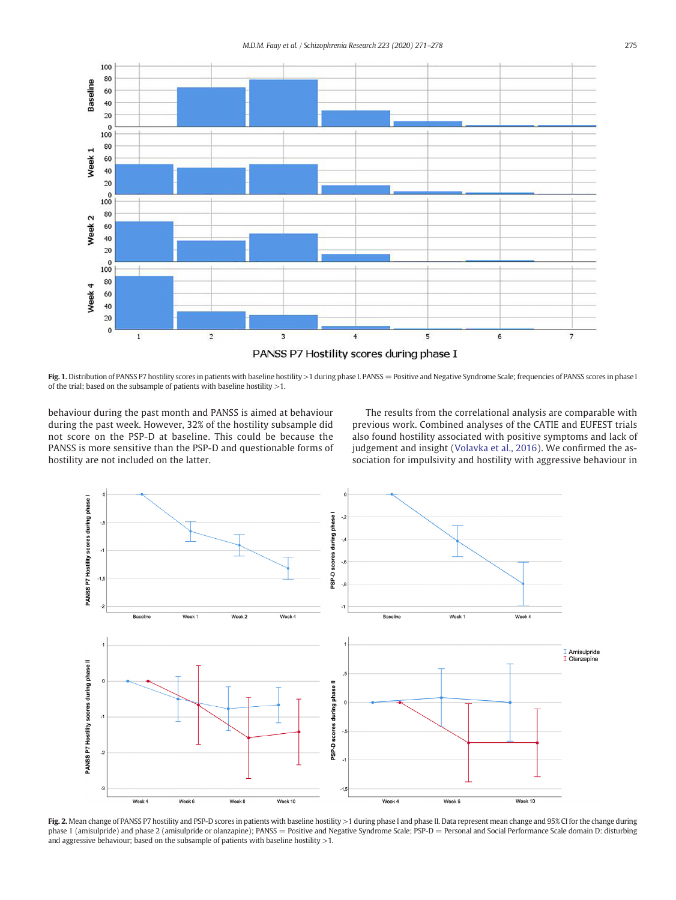<span id="page-4-0"></span>

Fig. 1. Distribution of PANSS P7 hostility scores in patients with baseline hostility >1 during phase I. PANSS = Positive and Negative Syndrome Scale; frequencies of PANSS scores in phase I of the trial; based on the subsample of patients with baseline hostility >1.

behaviour during the past month and PANSS is aimed at behaviour during the past week. However, 32% of the hostility subsample did not score on the PSP-D at baseline. This could be because the PANSS is more sensitive than the PSP-D and questionable forms of hostility are not included on the latter.

The results from the correlational analysis are comparable with previous work. Combined analyses of the CATIE and EUFEST trials also found hostility associated with positive symptoms and lack of judgement and insight ([Volavka et al., 2016](#page-7-0)). We confirmed the association for impulsivity and hostility with aggressive behaviour in



Fig. 2. Mean change of PANSS P7 hostility and PSP-D scores in patients with baseline hostility >1 during phase I and phase II. Data represent mean change and 95% CI for the change during phase 1 (amisulpride) and phase 2 (amisulpride or olanzapine); PANSS = Positive and Negative Syndrome Scale; PSP-D = Personal and Social Performance Scale domain D: disturbing and aggressive behaviour; based on the subsample of patients with baseline hostility  $>1$ .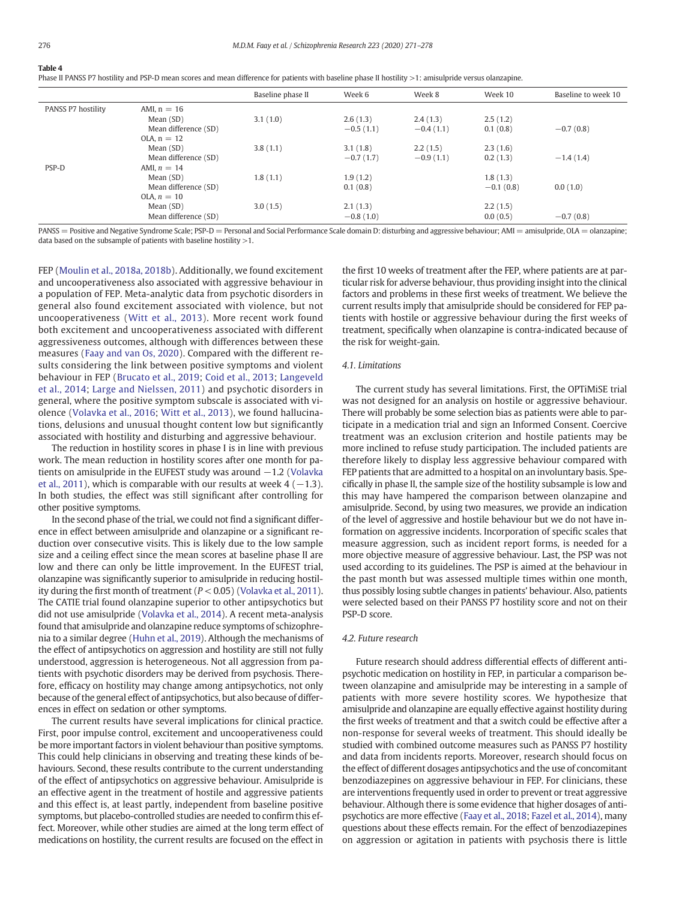#### <span id="page-5-0"></span>Table 4

Phase II PANSS P7 hostility and PSP-D mean scores and mean difference for patients with baseline phase II hostility >1: amisulpride versus olanzapine.

|                    |                      | Baseline phase II | Week 6      | Week 8      | Week 10     | Baseline to week 10 |
|--------------------|----------------------|-------------------|-------------|-------------|-------------|---------------------|
| PANSS P7 hostility | AMI, $n = 16$        |                   |             |             |             |                     |
|                    | Mean $(SD)$          | 3.1(1.0)          | 2.6(1.3)    | 2.4(1.3)    | 2.5(1.2)    |                     |
|                    | Mean difference (SD) |                   | $-0.5(1.1)$ | $-0.4(1.1)$ | 0.1(0.8)    | $-0.7(0.8)$         |
|                    | $OLA. n = 12$        |                   |             |             |             |                     |
|                    | Mean $(SD)$          | 3.8(1.1)          | 3.1(1.8)    | 2.2(1.5)    | 2.3(1.6)    |                     |
|                    | Mean difference (SD) |                   | $-0.7(1.7)$ | $-0.9(1.1)$ | 0.2(1.3)    | $-1.4(1.4)$         |
| PSP-D              | AMI, $n = 14$        |                   |             |             |             |                     |
|                    | Mean $(SD)$          | 1.8(1.1)          | 1.9(1.2)    |             | 1.8(1.3)    |                     |
|                    | Mean difference (SD) |                   | 0.1(0.8)    |             | $-0.1(0.8)$ | 0.0(1.0)            |
|                    | OLA, $n = 10$        |                   |             |             |             |                     |
|                    | Mean (SD)            | 3.0(1.5)          | 2.1(1.3)    |             | 2.2(1.5)    |                     |
|                    | Mean difference (SD) |                   | $-0.8(1.0)$ |             | 0.0(0.5)    | $-0.7(0.8)$         |

PANSS = Positive and Negative Syndrome Scale; PSP-D = Personal and Social Performance Scale domain D: disturbing and aggressive behaviour; AMI = amisulpride, OLA = olanzapine; data based on the subsample of patients with baseline hostility >1.

FEP [\(Moulin et al., 2018a, 2018b\)](#page-6-0). Additionally, we found excitement and uncooperativeness also associated with aggressive behaviour in a population of FEP. Meta-analytic data from psychotic disorders in general also found excitement associated with violence, but not uncooperativeness ([Witt et al., 2013\)](#page-7-0). More recent work found both excitement and uncooperativeness associated with different aggressiveness outcomes, although with differences between these measures ([Faay and van Os, 2020\)](#page-6-0). Compared with the different results considering the link between positive symptoms and violent behaviour in FEP ([Brucato et al., 2019;](#page-6-0) [Coid et al., 2013;](#page-6-0) [Langeveld](#page-6-0) [et al., 2014](#page-6-0); [Large and Nielssen, 2011](#page-6-0)) and psychotic disorders in general, where the positive symptom subscale is associated with violence ([Volavka et al., 2016;](#page-7-0) [Witt et al., 2013\)](#page-7-0), we found hallucinations, delusions and unusual thought content low but significantly associated with hostility and disturbing and aggressive behaviour.

The reduction in hostility scores in phase I is in line with previous work. The mean reduction in hostility scores after one month for patients on amisulpride in the EUFEST study was around −1.2 [\(Volavka](#page-7-0) [et al., 2011\)](#page-7-0), which is comparable with our results at week 4 ( $-1.3$ ). In both studies, the effect was still significant after controlling for other positive symptoms.

In the second phase of the trial, we could not find a significant difference in effect between amisulpride and olanzapine or a significant reduction over consecutive visits. This is likely due to the low sample size and a ceiling effect since the mean scores at baseline phase II are low and there can only be little improvement. In the EUFEST trial, olanzapine was significantly superior to amisulpride in reducing hostility during the first month of treatment ( $P < 0.05$ ) ([Volavka et al., 2011\)](#page-7-0). The CATIE trial found olanzapine superior to other antipsychotics but did not use amisulpride ([Volavka et al., 2014](#page-7-0)). A recent meta-analysis found that amisulpride and olanzapine reduce symptoms of schizophrenia to a similar degree [\(Huhn et al., 2019\)](#page-6-0). Although the mechanisms of the effect of antipsychotics on aggression and hostility are still not fully understood, aggression is heterogeneous. Not all aggression from patients with psychotic disorders may be derived from psychosis. Therefore, efficacy on hostility may change among antipsychotics, not only because of the general effect of antipsychotics, but also because of differences in effect on sedation or other symptoms.

The current results have several implications for clinical practice. First, poor impulse control, excitement and uncooperativeness could be more important factors in violent behaviour than positive symptoms. This could help clinicians in observing and treating these kinds of behaviours. Second, these results contribute to the current understanding of the effect of antipsychotics on aggressive behaviour. Amisulpride is an effective agent in the treatment of hostile and aggressive patients and this effect is, at least partly, independent from baseline positive symptoms, but placebo-controlled studies are needed to confirm this effect. Moreover, while other studies are aimed at the long term effect of medications on hostility, the current results are focused on the effect in

the first 10 weeks of treatment after the FEP, where patients are at particular risk for adverse behaviour, thus providing insight into the clinical factors and problems in these first weeks of treatment. We believe the current results imply that amisulpride should be considered for FEP patients with hostile or aggressive behaviour during the first weeks of treatment, specifically when olanzapine is contra-indicated because of the risk for weight-gain.

# 4.1. Limitations

The current study has several limitations. First, the OPTiMiSE trial was not designed for an analysis on hostile or aggressive behaviour. There will probably be some selection bias as patients were able to participate in a medication trial and sign an Informed Consent. Coercive treatment was an exclusion criterion and hostile patients may be more inclined to refuse study participation. The included patients are therefore likely to display less aggressive behaviour compared with FEP patients that are admitted to a hospital on an involuntary basis. Specifically in phase II, the sample size of the hostility subsample is low and this may have hampered the comparison between olanzapine and amisulpride. Second, by using two measures, we provide an indication of the level of aggressive and hostile behaviour but we do not have information on aggressive incidents. Incorporation of specific scales that measure aggression, such as incident report forms, is needed for a more objective measure of aggressive behaviour. Last, the PSP was not used according to its guidelines. The PSP is aimed at the behaviour in the past month but was assessed multiple times within one month, thus possibly losing subtle changes in patients' behaviour. Also, patients were selected based on their PANSS P7 hostility score and not on their PSP-D score.

# 4.2. Future research

Future research should address differential effects of different antipsychotic medication on hostility in FEP, in particular a comparison between olanzapine and amisulpride may be interesting in a sample of patients with more severe hostility scores. We hypothesize that amisulpride and olanzapine are equally effective against hostility during the first weeks of treatment and that a switch could be effective after a non-response for several weeks of treatment. This should ideally be studied with combined outcome measures such as PANSS P7 hostility and data from incidents reports. Moreover, research should focus on the effect of different dosages antipsychotics and the use of concomitant benzodiazepines on aggressive behaviour in FEP. For clinicians, these are interventions frequently used in order to prevent or treat aggressive behaviour. Although there is some evidence that higher dosages of antipsychotics are more effective ([Faay et al., 2018](#page-6-0); [Fazel et al., 2014\)](#page-6-0), many questions about these effects remain. For the effect of benzodiazepines on aggression or agitation in patients with psychosis there is little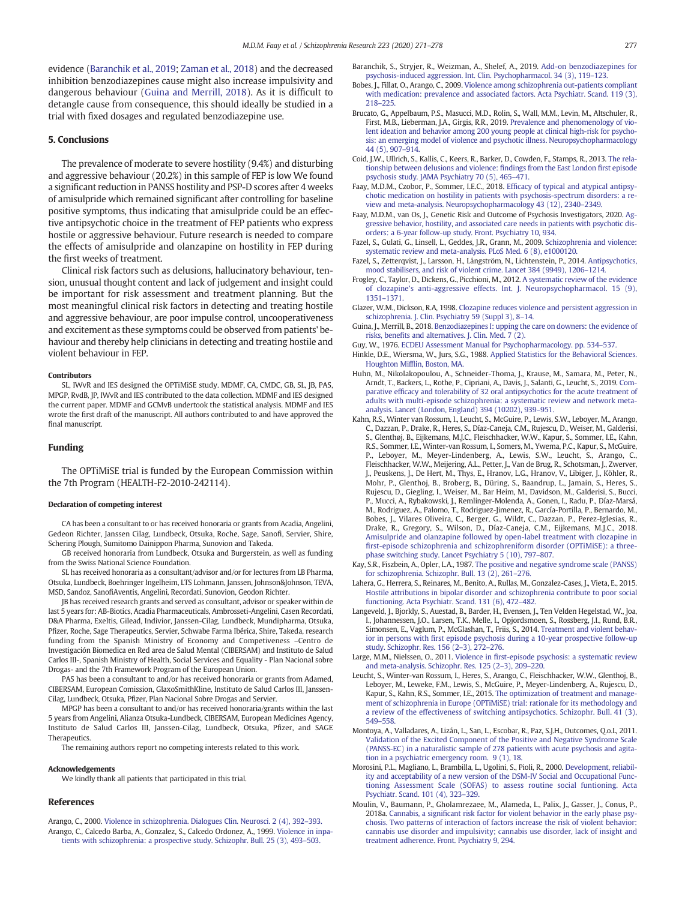<span id="page-6-0"></span>evidence (Baranchik et al., 2019; [Zaman et al., 2018\)](#page-7-0) and the decreased inhibition benzodiazepines cause might also increase impulsivity and dangerous behaviour (Guina and Merrill, 2018). As it is difficult to detangle cause from consequence, this should ideally be studied in a trial with fixed dosages and regulated benzodiazepine use.

# 5. Conclusions

The prevalence of moderate to severe hostility (9.4%) and disturbing and aggressive behaviour (20.2%) in this sample of FEP is low We found a significant reduction in PANSS hostility and PSP-D scores after 4 weeks of amisulpride which remained significant after controlling for baseline positive symptoms, thus indicating that amisulpride could be an effective antipsychotic choice in the treatment of FEP patients who express hostile or aggressive behaviour. Future research is needed to compare the effects of amisulpride and olanzapine on hostility in FEP during the first weeks of treatment.

Clinical risk factors such as delusions, hallucinatory behaviour, tension, unusual thought content and lack of judgement and insight could be important for risk assessment and treatment planning. But the most meaningful clinical risk factors in detecting and treating hostile and aggressive behaviour, are poor impulse control, uncooperativeness and excitement as these symptoms could be observed from patients' behaviour and thereby help clinicians in detecting and treating hostile and violent behaviour in FEP.

# Contributors

SL, IWvR and IES designed the OPTiMiSE study. MDMF, CA, CMDC, GB, SL, JB, PAS, MPGP, RvdB, JP, IWvR and IES contributed to the data collection. MDMF and IES designed the current paper. MDMF and GCMvB undertook the statistical analysis. MDMF and IES wrote the first draft of the manuscript. All authors contributed to and have approved the final manuscript.

# Funding

The OPTiMiSE trial is funded by the European Commission within the 7th Program (HEALTH-F2-2010-242114).

#### Declaration of competing interest

CA has been a consultant to or has received honoraria or grants from Acadia, Angelini, Gedeon Richter, Janssen Cilag, Lundbeck, Otsuka, Roche, Sage, Sanofi, Servier, Shire, Schering Plough, Sumitomo Dainippon Pharma, Sunovion and Takeda.

GB received honoraria from Lundbeck, Otsuka and Burgerstein, as well as funding from the Swiss National Science Foundation.

SL has received honoraria as a consultant/advisor and/or for lectures from LB Pharma, Otsuka, Lundbeck, Boehringer Ingelheim, LTS Lohmann, Janssen, Johnson&Johnson, TEVA, MSD, Sandoz, SanofiAventis, Angelini, Recordati, Sunovion, Geodon Richter.

JB has received research grants and served as consultant, advisor or speaker within de last 5 years for: AB-Biotics, Acadia Pharmaceuticals, Ambrosseti-Angelini, Casen Recordati, D&A Pharma, Exeltis, Gilead, Indivior, Janssen-Cilag, Lundbeck, Mundipharma, Otsuka, Pfizer, Roche, Sage Therapeutics, Servier, Schwabe Farma Ibérica, Shire, Takeda, research funding from the Spanish Ministry of Economy and Competiveness –Centro de Investigación Biomedica en Red area de Salud Mental (CIBERSAM) and Instituto de Salud Carlos III-, Spanish Ministry of Health, Social Services and Equality - Plan Nacional sobre Drogas- and the 7th Framework Program of the European Union.

PAS has been a consultant to and/or has received honoraria or grants from Adamed, CIBERSAM, European Comission, GlaxoSmithKline, Instituto de Salud Carlos III, Janssen-Cilag, Lundbeck, Otsuka, Pfizer, Plan Nacional Sobre Drogas and Servier.

MPGP has been a consultant to and/or has received honoraria/grants within the last 5 years from Angelini, Alianza Otsuka-Lundbeck, CIBERSAM, European Medicines Agency, Instituto de Salud Carlos III, Janssen-Cilag, Lundbeck, Otsuka, Pfizer, and SAGE Therapeutics.

The remaining authors report no competing interests related to this work.

#### Acknowledgements

We kindly thank all patients that participated in this trial.

#### References

Arango, C., 2000. [Violence in schizophrenia. Dialogues Clin. Neurosci. 2 \(4\), 392](http://refhub.elsevier.com/S0920-9964(20)30449-7/rf0005)–393. Arango, C., Calcedo Barba, A., Gonzalez, S., Calcedo Ordonez, A., 1999. [Violence in inpa](http://refhub.elsevier.com/S0920-9964(20)30449-7/rf0010)[tients with schizophrenia: a prospective study. Schizophr. Bull. 25 \(3\), 493](http://refhub.elsevier.com/S0920-9964(20)30449-7/rf0010)–503.

- Baranchik, S., Stryjer, R., Weizman, A., Shelef, A., 2019. [Add-on benzodiazepines for](http://refhub.elsevier.com/S0920-9964(20)30449-7/rf0015) [psychosis-induced aggression. Int. Clin. Psychopharmacol. 34 \(3\), 119](http://refhub.elsevier.com/S0920-9964(20)30449-7/rf0015)–123.
- Bobes, J., Fillat, O., Arango, C., 2009. [Violence among schizophrenia out-patients compliant](http://refhub.elsevier.com/S0920-9964(20)30449-7/rf0020) [with medication: prevalence and associated factors. Acta Psychiatr. Scand. 119 \(3\),](http://refhub.elsevier.com/S0920-9964(20)30449-7/rf0020) [218](http://refhub.elsevier.com/S0920-9964(20)30449-7/rf0020)–225.
- Brucato, G., Appelbaum, P.S., Masucci, M.D., Rolin, S., Wall, M.M., Levin, M., Altschuler, R., First, M.B., Lieberman, J.A., Girgis, R.R., 2019. [Prevalence and phenomenology of vio](http://refhub.elsevier.com/S0920-9964(20)30449-7/rf0025)[lent ideation and behavior among 200 young people at clinical high-risk for psycho](http://refhub.elsevier.com/S0920-9964(20)30449-7/rf0025)[sis: an emerging model of violence and psychotic illness. Neuropsychopharmacology](http://refhub.elsevier.com/S0920-9964(20)30449-7/rf0025) [44 \(5\), 907](http://refhub.elsevier.com/S0920-9964(20)30449-7/rf0025)–914.
- Coid, J.W., Ullrich, S., Kallis, C., Keers, R., Barker, D., Cowden, F., Stamps, R., 2013. [The rela](http://refhub.elsevier.com/S0920-9964(20)30449-7/rf0030)[tionship between delusions and violence:](http://refhub.elsevier.com/S0920-9964(20)30449-7/rf0030) findings from the East London first episode [psychosis study. JAMA Psychiatry 70 \(5\), 465](http://refhub.elsevier.com/S0920-9964(20)30449-7/rf0030)–471.
- Faay, M.D.M., Czobor, P., Sommer, I.E.C., 2018. Effi[cacy of typical and atypical antipsy](http://refhub.elsevier.com/S0920-9964(20)30449-7/rf0035)[chotic medication on hostility in patients with psychosis-spectrum disorders: a re](http://refhub.elsevier.com/S0920-9964(20)30449-7/rf0035)[view and meta-analysis. Neuropsychopharmacology 43 \(12\), 2340](http://refhub.elsevier.com/S0920-9964(20)30449-7/rf0035)–2349.
- Faay, M.D.M., van Os, J., Genetic Risk and Outcome of Psychosis Investigators, 2020. [Ag](http://refhub.elsevier.com/S0920-9964(20)30449-7/rf0040)[gressive behavior, hostility, and associated care needs in patients with psychotic dis](http://refhub.elsevier.com/S0920-9964(20)30449-7/rf0040)[orders: a 6-year follow-up study. Front. Psychiatry 10, 934.](http://refhub.elsevier.com/S0920-9964(20)30449-7/rf0040)
- Fazel, S., Gulati, G., Linsell, L., Geddes, J.R., Grann, M., 2009. [Schizophrenia and violence:](http://refhub.elsevier.com/S0920-9964(20)30449-7/rf0045) [systematic review and meta-analysis. PLoS Med. 6 \(8\), e1000120.](http://refhub.elsevier.com/S0920-9964(20)30449-7/rf0045)
- Fazel, S., Zetterqvist, J., Larsson, H., Långström, N., Lichtenstein, P., 2014. [Antipsychotics,](http://refhub.elsevier.com/S0920-9964(20)30449-7/rf0050) [mood stabilisers, and risk of violent crime. Lancet 384 \(9949\), 1206](http://refhub.elsevier.com/S0920-9964(20)30449-7/rf0050)–1214.
- Frogley, C., Taylor, D., Dickens, G., Picchioni, M., 2012. [A systematic review of the evidence](http://refhub.elsevier.com/S0920-9964(20)30449-7/rf0055) of clozapine'[s anti-aggressive effects. Int. J. Neuropsychopharmacol. 15 \(9\),](http://refhub.elsevier.com/S0920-9964(20)30449-7/rf0055) [1351](http://refhub.elsevier.com/S0920-9964(20)30449-7/rf0055)–1371.
- Glazer, W.M., Dickson, R.A, 1998. [Clozapine reduces violence and persistent aggression in](http://refhub.elsevier.com/S0920-9964(20)30449-7/rf0060) [schizophrenia. J. Clin. Psychiatry 59 \(Suppl 3\), 8](http://refhub.elsevier.com/S0920-9964(20)30449-7/rf0060)–14.
- Guina, J., Merrill, B., 2018. [Benzodiazepines I: upping the care on downers: the evidence of](http://refhub.elsevier.com/S0920-9964(20)30449-7/rf0065) risks, benefi[ts and alternatives. J. Clin. Med. 7 \(2\).](http://refhub.elsevier.com/S0920-9964(20)30449-7/rf0065)
- Guy, W., 1976. [ECDEU Assessment Manual for Psychopharmacology. pp. 534](http://refhub.elsevier.com/S0920-9964(20)30449-7/rf0070)–537.
- Hinkle, D.E., Wiersma, W., Jurs, S.G., 1988. [Applied Statistics for the Behavioral Sciences.](http://refhub.elsevier.com/S0920-9964(20)30449-7/rf0075) Houghton Miffl[in, Boston, MA](http://refhub.elsevier.com/S0920-9964(20)30449-7/rf0075).
- Huhn, M., Nikolakopoulou, A., Schneider-Thoma, J., Krause, M., Samara, M., Peter, N., Arndt, T., Backers, L., Rothe, P., Cipriani, A., Davis, J., Salanti, G., Leucht, S., 2019. [Com](http://refhub.elsevier.com/S0920-9964(20)30449-7/rf0080)parative effi[cacy and tolerability of 32 oral antipsychotics for the acute treatment of](http://refhub.elsevier.com/S0920-9964(20)30449-7/rf0080) [adults with multi-episode schizophrenia: a systematic review and network meta](http://refhub.elsevier.com/S0920-9964(20)30449-7/rf0080)[analysis. Lancet \(London, England\) 394 \(10202\), 939](http://refhub.elsevier.com/S0920-9964(20)30449-7/rf0080)–951.
- Kahn, R.S., Winter van Rossum, I., Leucht, S., McGuire, P., Lewis, S.W., Leboyer, M., Arango, C., Dazzan, P., Drake, R., Heres, S., Díaz-Caneja, C.M., Rujescu, D., Weiser, M., Galderisi, S., Glenthøj, B., Eijkemans, M.J.C., Fleischhacker, W.W., Kapur, S., Sommer, I.E., Kahn, R.S., Sommer, I.E., Winter-van Rossum, I., Somers, M., Ywema, P.C., Kapur, S., McGuire, P., Leboyer, M., Meyer-Lindenberg, A., Lewis, S.W., Leucht, S., Arango, C., Fleischhacker, W.W., Meijering, A.L., Petter, J., Van de Brug, R., Schotsman, J., Zwerver, J., Peuskens, J., De Hert, M., Thys, E., Hranov, L.G., Hranov, V., Libiger, J., Köhler, R., Mohr, P., Glenthoj, B., Broberg, B., Düring, S., Baandrup, L., Jamain, S., Heres, S., Rujescu, D., Giegling, I., Weiser, M., Bar Heim, M., Davidson, M., Galderisi, S., Bucci, P., Mucci, A., Rybakowski, J., Remlinger-Molenda, A., Gonen, I., Radu, P., Díaz-Marsá, M., Rodriguez, A., Palomo, T., Rodriguez-Jimenez, R., García-Portilla, P., Bernardo, M., Bobes, J., Vilares Oliveira, C., Berger, G., Wildt, C., Dazzan, P., Perez-Iglesias, R., Drake, R., Gregory, S., Wilson, D., Díaz-Caneja, C.M., Eijkemans, M.J.C., 2018. [Amisulpride and olanzapine followed by open-label treatment with clozapine in](http://refhub.elsevier.com/S0920-9964(20)30449-7/rf0085) fi[rst-episode schizophrenia and schizophreniform disorder \(OPTiMiSE\): a three](http://refhub.elsevier.com/S0920-9964(20)30449-7/rf0085)[phase switching study. Lancet Psychiatry 5 \(10\), 797](http://refhub.elsevier.com/S0920-9964(20)30449-7/rf0085)–807.
- Kay, S.R., Fiszbein, A., Opler, L.A., 1987. [The positive and negative syndrome scale \(PANSS\)](http://refhub.elsevier.com/S0920-9964(20)30449-7/rf0090) [for schizophrenia. Schizophr. Bull. 13 \(2\), 261](http://refhub.elsevier.com/S0920-9964(20)30449-7/rf0090)–276.
- Lahera, G., Herrera, S., Reinares, M., Benito, A., Rullas, M., Gonzalez-Cases, J., Vieta, E., 2015. [Hostile attributions in bipolar disorder and schizophrenia contribute to poor social](http://refhub.elsevier.com/S0920-9964(20)30449-7/rf0095) [functioning. Acta Psychiatr. Scand. 131 \(6\), 472](http://refhub.elsevier.com/S0920-9964(20)30449-7/rf0095)–482.
- Langeveld, J., Bjorkly, S., Auestad, B., Barder, H., Evensen, J., Ten Velden Hegelstad, W., Joa, I., Johannessen, J.O., Larsen, T.K., Melle, I., Opjordsmoen, S., Rossberg, J.I., Rund, B.R., Simonsen, E., Vaglum, P., McGlashan, T., Friis, S., 2014. [Treatment and violent behav](http://refhub.elsevier.com/S0920-9964(20)30449-7/rf0100)ior in persons with fi[rst episode psychosis during a 10-year prospective follow-up](http://refhub.elsevier.com/S0920-9964(20)30449-7/rf0100) [study. Schizophr. Res. 156 \(2](http://refhub.elsevier.com/S0920-9964(20)30449-7/rf0100)–3), 272–276.
- Large, M.M., Nielssen, O., 2011. Violence in fi[rst-episode psychosis: a systematic review](http://refhub.elsevier.com/S0920-9964(20)30449-7/rf0105) [and meta-analysis. Schizophr. Res. 125 \(2](http://refhub.elsevier.com/S0920-9964(20)30449-7/rf0105)–3), 209–220.
- Leucht, S., Winter-van Rossum, I., Heres, S., Arango, C., Fleischhacker, W.W., Glenthoj, B., Leboyer, M., Leweke, F.M., Lewis, S., McGuire, P., Meyer-Lindenberg, A., Rujescu, D., Kapur, S., Kahn, R.S., Sommer, I.E., 2015. [The optimization of treatment and manage](http://refhub.elsevier.com/S0920-9964(20)30449-7/rf0110)[ment of schizophrenia in Europe \(OPTiMiSE\) trial: rationale for its methodology and](http://refhub.elsevier.com/S0920-9964(20)30449-7/rf0110) [a review of the effectiveness of switching antipsychotics. Schizophr. Bull. 41 \(3\),](http://refhub.elsevier.com/S0920-9964(20)30449-7/rf0110) [549](http://refhub.elsevier.com/S0920-9964(20)30449-7/rf0110)–558.
- Montoya, A., Valladares, A., Lizán, L., San, L., Escobar, R., Paz, S.J.H., Outcomes, Q.o.L, 2011. [Validation of the Excited Component of the Positive and Negative Syndrome Scale](http://refhub.elsevier.com/S0920-9964(20)30449-7/rf0115) [\(PANSS-EC\) in a naturalistic sample of 278 patients with acute psychosis and agita](http://refhub.elsevier.com/S0920-9964(20)30449-7/rf0115)[tion in a psychiatric emergency room. 9 \(1\), 18](http://refhub.elsevier.com/S0920-9964(20)30449-7/rf0115).
- Morosini, P.L., Magliano, L., Brambilla, L., Ugolini, S., Pioli, R., 2000. [Development, reliabil](http://refhub.elsevier.com/S0920-9964(20)30449-7/rf0120)[ity and acceptability of a new version of the DSM-IV Social and Occupational Func](http://refhub.elsevier.com/S0920-9964(20)30449-7/rf0120)[tioning Assessment Scale \(SOFAS\) to assess routine social funtioning. Acta](http://refhub.elsevier.com/S0920-9964(20)30449-7/rf0120) [Psychiatr. Scand. 101 \(4\), 323](http://refhub.elsevier.com/S0920-9964(20)30449-7/rf0120)–329.
- Moulin, V., Baumann, P., Gholamrezaee, M., Alameda, L., Palix, J., Gasser, J., Conus, P., 2018a. Cannabis, a signifi[cant risk factor for violent behavior in the early phase psy](http://refhub.elsevier.com/S0920-9964(20)30449-7/rf0125)[chosis. Two patterns of interaction of factors increase the risk of violent behavior:](http://refhub.elsevier.com/S0920-9964(20)30449-7/rf0125) [cannabis use disorder and impulsivity; cannabis use disorder, lack of insight and](http://refhub.elsevier.com/S0920-9964(20)30449-7/rf0125) [treatment adherence. Front. Psychiatry 9, 294](http://refhub.elsevier.com/S0920-9964(20)30449-7/rf0125).